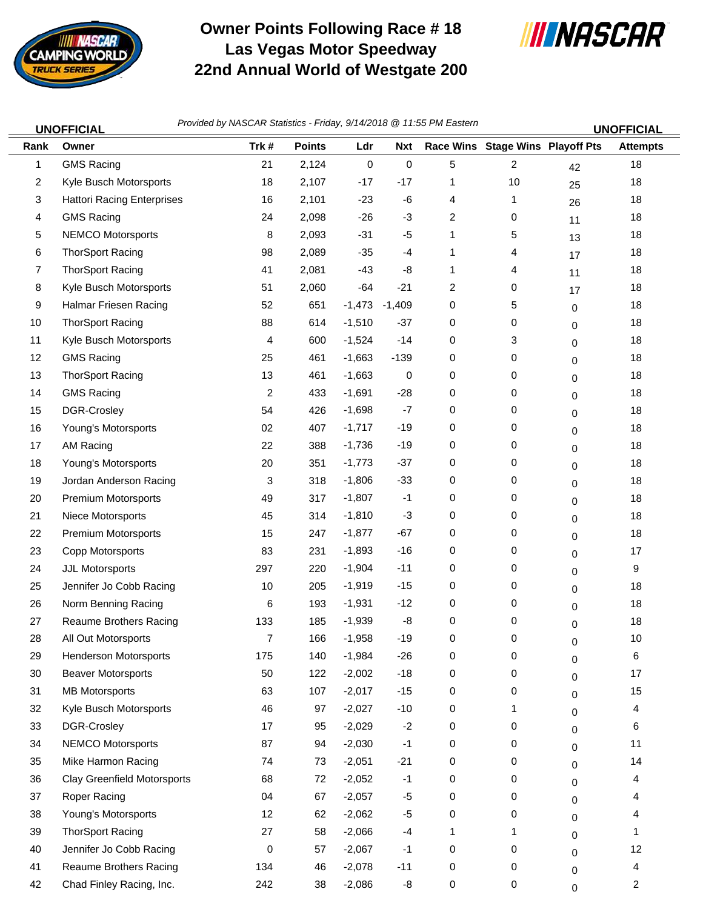

## **Owner Points Following Race # 18 Las Vegas Motor Speedway 22nd Annual World of Westgate 200**



|      | <b>UNOFFICIAL</b>                 | Provided by NASCAR Statistics - Friday, 9/14/2018 @ 11:55 PM Eastern |               |                 |             |   |                                  |    | <b>UNOFFICIAL</b> |
|------|-----------------------------------|----------------------------------------------------------------------|---------------|-----------------|-------------|---|----------------------------------|----|-------------------|
| Rank | Owner                             | Trk#                                                                 | <b>Points</b> | Ldr             | <b>Nxt</b>  |   | Race Wins Stage Wins Playoff Pts |    | <b>Attempts</b>   |
| 1    | <b>GMS Racing</b>                 | 21                                                                   | 2,124         | $\mathsf 0$     | $\mathbf 0$ | 5 | $\overline{2}$                   | 42 | 18                |
| 2    | Kyle Busch Motorsports            | 18                                                                   | 2,107         | $-17$           | $-17$       | 1 | 10                               | 25 | 18                |
| 3    | <b>Hattori Racing Enterprises</b> | 16                                                                   | 2,101         | $-23$           | -6          | 4 | 1                                | 26 | 18                |
| 4    | <b>GMS Racing</b>                 | 24                                                                   | 2,098         | $-26$           | $-3$        | 2 | 0                                | 11 | 18                |
| 5    | <b>NEMCO Motorsports</b>          | 8                                                                    | 2,093         | $-31$           | $-5$        | 1 | 5                                | 13 | 18                |
| 6    | <b>ThorSport Racing</b>           | 98                                                                   | 2,089         | $-35$           | $-4$        | 1 | 4                                | 17 | 18                |
| 7    | <b>ThorSport Racing</b>           | 41                                                                   | 2,081         | $-43$           | -8          | 1 | 4                                | 11 | 18                |
| 8    | Kyle Busch Motorsports            | 51                                                                   | 2,060         | $-64$           | $-21$       | 2 | 0                                | 17 | 18                |
| 9    | Halmar Friesen Racing             | 52                                                                   | 651           | $-1,473 -1,409$ |             | 0 | 5                                | 0  | 18                |
| 10   | <b>ThorSport Racing</b>           | 88                                                                   | 614           | $-1,510$        | $-37$       | 0 | 0                                | 0  | 18                |
| 11   | Kyle Busch Motorsports            | 4                                                                    | 600           | $-1,524$        | $-14$       | 0 | 3                                | 0  | 18                |
| 12   | <b>GMS Racing</b>                 | 25                                                                   | 461           | $-1,663$        | $-139$      | 0 | 0                                | 0  | 18                |
| 13   | <b>ThorSport Racing</b>           | 13                                                                   | 461           | $-1,663$        | 0           | 0 | 0                                | 0  | 18                |
| 14   | <b>GMS Racing</b>                 | 2                                                                    | 433           | $-1,691$        | $-28$       | 0 | 0                                | 0  | 18                |
| 15   | DGR-Crosley                       | 54                                                                   | 426           | $-1,698$        | $-7$        | 0 | 0                                | 0  | 18                |
| 16   | Young's Motorsports               | 02                                                                   | 407           | $-1,717$        | $-19$       | 0 | 0                                | 0  | 18                |
| 17   | AM Racing                         | 22                                                                   | 388           | $-1,736$        | $-19$       | 0 | 0                                | 0  | 18                |
| 18   | Young's Motorsports               | 20                                                                   | 351           | $-1,773$        | $-37$       | 0 | 0                                | 0  | 18                |
| 19   | Jordan Anderson Racing            | 3                                                                    | 318           | $-1,806$        | $-33$       | 0 | 0                                | 0  | 18                |
| 20   | <b>Premium Motorsports</b>        | 49                                                                   | 317           | $-1,807$        | $-1$        | 0 | 0                                | 0  | 18                |
| 21   | Niece Motorsports                 | 45                                                                   | 314           | $-1,810$        | $-3$        | 0 | 0                                | 0  | 18                |
| 22   | <b>Premium Motorsports</b>        | 15                                                                   | 247           | $-1,877$        | $-67$       | 0 | 0                                | 0  | 18                |
| 23   | Copp Motorsports                  | 83                                                                   | 231           | $-1,893$        | $-16$       | 0 | 0                                | 0  | 17                |
| 24   | JJL Motorsports                   | 297                                                                  | 220           | $-1,904$        | $-11$       | 0 | 0                                | 0  | 9                 |
| 25   | Jennifer Jo Cobb Racing           | 10                                                                   | 205           | $-1,919$        | $-15$       | 0 | 0                                | 0  | 18                |
| 26   | Norm Benning Racing               | 6                                                                    | 193           | $-1,931$        | $-12$       | 0 | 0                                | 0  | 18                |
| 27   | Reaume Brothers Racing            | 133                                                                  | 185           | $-1,939$        | -8          | 0 | 0                                | 0  | $18$              |
| 28   | All Out Motorsports               | 7                                                                    | 166           | $-1,958$        | $-19$       | 0 | 0                                | 0  | 10                |
| 29   | <b>Henderson Motorsports</b>      | 175                                                                  | 140           | $-1,984$        | $-26$       | 0 | 0                                | 0  | 6                 |
| 30   | <b>Beaver Motorsports</b>         | 50                                                                   | 122           | $-2,002$        | $-18$       | 0 | 0                                | 0  | 17                |
| 31   | <b>MB Motorsports</b>             | 63                                                                   | 107           | $-2,017$        | $-15$       | 0 | 0                                | 0  | 15                |
| 32   | Kyle Busch Motorsports            | 46                                                                   | 97            | $-2,027$        | $-10$       | 0 | 1                                | 0  | 4                 |
| 33   | DGR-Crosley                       | 17                                                                   | 95            | $-2,029$        | $-2$        | 0 | 0                                | 0  | 6                 |
| 34   | <b>NEMCO Motorsports</b>          | 87                                                                   | 94            | $-2,030$        | $-1$        | 0 | 0                                | 0  | 11                |
| 35   | Mike Harmon Racing                | 74                                                                   | 73            | $-2,051$        | $-21$       | 0 | 0                                | 0  | 14                |
| 36   | Clay Greenfield Motorsports       | 68                                                                   | 72            | $-2,052$        | $-1$        | 0 | 0                                | 0  | 4                 |
| 37   | Roper Racing                      | 04                                                                   | 67            | $-2,057$        | $-5$        | 0 | 0                                | 0  | 4                 |
| 38   | Young's Motorsports               | 12                                                                   | 62            | $-2,062$        | $-5$        | 0 | 0                                | 0  | 4                 |
| 39   | <b>ThorSport Racing</b>           | 27                                                                   | 58            | $-2,066$        | $-4$        | 1 | 1                                | 0  | 1                 |
| 40   | Jennifer Jo Cobb Racing           | 0                                                                    | 57            | $-2,067$        | -1          | 0 | 0                                | 0  | 12                |
| 41   | Reaume Brothers Racing            | 134                                                                  | 46            | $-2,078$        | $-11$       | 0 | 0                                | 0  | 4                 |
| 42   | Chad Finley Racing, Inc.          | 242                                                                  | 38            | $-2,086$        | -8          | 0 | 0                                | 0  | 2                 |